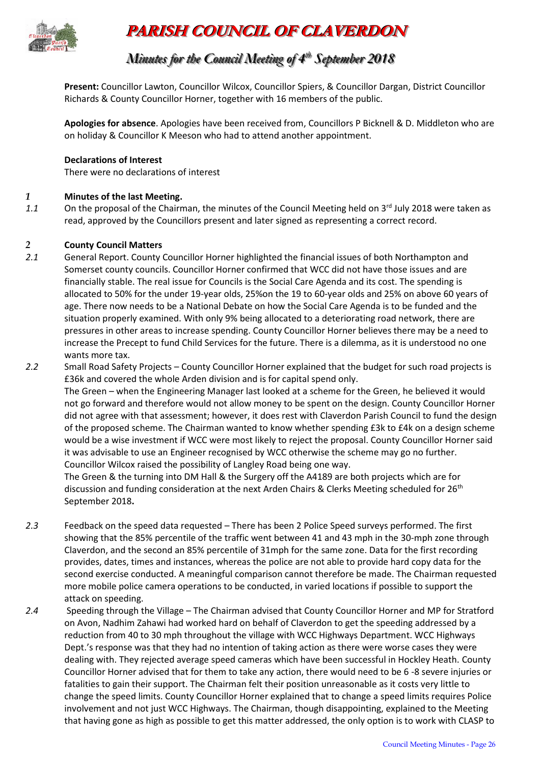

# **PARISH COUNCIL OF CLAVERDON**

# *Minutes for the Council Meeting of 4 t thh September 2018*

**Present:** Councillor Lawton, Councillor Wilcox, Councillor Spiers, & Councillor Dargan, District Councillor Richards & County Councillor Horner, together with 16 members of the public.

**Apologies for absence**. Apologies have been received from, Councillors P Bicknell & D. Middleton who are on holiday & Councillor K Meeson who had to attend another appointment.

#### **Declarations of Interest**

There were no declarations of interest

#### *1* **Minutes of the last Meeting.**

1.1 On the proposal of the Chairman, the minutes of the Council Meeting held on 3<sup>rd</sup> July 2018 were taken as read, approved by the Councillors present and later signed as representing a correct record.

#### *2* **County Council Matters**

- *2.1* General Report. County Councillor Horner highlighted the financial issues of both Northampton and Somerset county councils. Councillor Horner confirmed that WCC did not have those issues and are financially stable. The real issue for Councils is the Social Care Agenda and its cost. The spending is allocated to 50% for the under 19-year olds, 25%on the 19 to 60-year olds and 25% on above 60 years of age. There now needs to be a National Debate on how the Social Care Agenda is to be funded and the situation properly examined. With only 9% being allocated to a deteriorating road network, there are pressures in other areas to increase spending. County Councillor Horner believes there may be a need to increase the Precept to fund Child Services for the future. There is a dilemma, as it is understood no one wants more tax.
- *2.2* Small Road Safety Projects County Councillor Horner explained that the budget for such road projects is £36k and covered the whole Arden division and is for capital spend only. The Green – when the Engineering Manager last looked at a scheme for the Green, he believed it would not go forward and therefore would not allow money to be spent on the design. County Councillor Horner did not agree with that assessment; however, it does rest with Claverdon Parish Council to fund the design of the proposed scheme. The Chairman wanted to know whether spending £3k to £4k on a design scheme would be a wise investment if WCC were most likely to reject the proposal. County Councillor Horner said it was advisable to use an Engineer recognised by WCC otherwise the scheme may go no further. Councillor Wilcox raised the possibility of Langley Road being one way. The Green & the turning into DM Hall & the Surgery off the A4189 are both projects which are for

discussion and funding consideration at the next Arden Chairs & Clerks Meeting scheduled for 26<sup>th</sup> September 2018**.** 

- *2.3* Feedback on the speed data requested There has been 2 Police Speed surveys performed. The first showing that the 85% percentile of the traffic went between 41 and 43 mph in the 30-mph zone through Claverdon, and the second an 85% percentile of 31mph for the same zone. Data for the first recording provides, dates, times and instances, whereas the police are not able to provide hard copy data for the second exercise conducted. A meaningful comparison cannot therefore be made. The Chairman requested more mobile police camera operations to be conducted, in varied locations if possible to support the attack on speeding.
- *2.4* Speeding through the Village The Chairman advised that County Councillor Horner and MP for Stratford on Avon, Nadhim Zahawi had worked hard on behalf of Claverdon to get the speeding addressed by a reduction from 40 to 30 mph throughout the village with WCC Highways Department. WCC Highways Dept.'s response was that they had no intention of taking action as there were worse cases they were dealing with. They rejected average speed cameras which have been successful in Hockley Heath. County Councillor Horner advised that for them to take any action, there would need to be 6 -8 severe injuries or fatalities to gain their support. The Chairman felt their position unreasonable as it costs very little to change the speed limits. County Councillor Horner explained that to change a speed limits requires Police involvement and not just WCC Highways. The Chairman, though disappointing, explained to the Meeting that having gone as high as possible to get this matter addressed, the only option is to work with CLASP to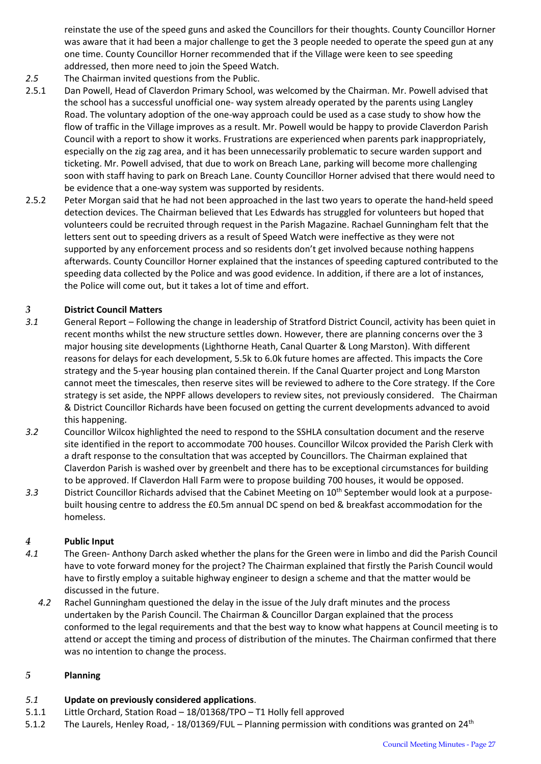reinstate the use of the speed guns and asked the Councillors for their thoughts. County Councillor Horner was aware that it had been a major challenge to get the 3 people needed to operate the speed gun at any one time. County Councillor Horner recommended that if the Village were keen to see speeding addressed, then more need to join the Speed Watch.

- *2.5* The Chairman invited questions from the Public.
- 2.5.1 Dan Powell, Head of Claverdon Primary School, was welcomed by the Chairman. Mr. Powell advised that the school has a successful unofficial one- way system already operated by the parents using Langley Road. The voluntary adoption of the one-way approach could be used as a case study to show how the flow of traffic in the Village improves as a result. Mr. Powell would be happy to provide Claverdon Parish Council with a report to show it works. Frustrations are experienced when parents park inappropriately, especially on the zig zag area, and it has been unnecessarily problematic to secure warden support and ticketing. Mr. Powell advised, that due to work on Breach Lane, parking will become more challenging soon with staff having to park on Breach Lane. County Councillor Horner advised that there would need to be evidence that a one-way system was supported by residents.
- 2.5.2 Peter Morgan said that he had not been approached in the last two years to operate the hand-held speed detection devices. The Chairman believed that Les Edwards has struggled for volunteers but hoped that volunteers could be recruited through request in the Parish Magazine. Rachael Gunningham felt that the letters sent out to speeding drivers as a result of Speed Watch were ineffective as they were not supported by any enforcement process and so residents don't get involved because nothing happens afterwards. County Councillor Horner explained that the instances of speeding captured contributed to the speeding data collected by the Police and was good evidence. In addition, if there are a lot of instances, the Police will come out, but it takes a lot of time and effort.

# *3* **District Council Matters**

- *3.1* General Report Following the change in leadership of Stratford District Council, activity has been quiet in recent months whilst the new structure settles down. However, there are planning concerns over the 3 major housing site developments (Lighthorne Heath, Canal Quarter & Long Marston). With different reasons for delays for each development, 5.5k to 6.0k future homes are affected. This impacts the Core strategy and the 5-year housing plan contained therein. If the Canal Quarter project and Long Marston cannot meet the timescales, then reserve sites will be reviewed to adhere to the Core strategy. If the Core strategy is set aside, the NPPF allows developers to review sites, not previously considered. The Chairman & District Councillor Richards have been focused on getting the current developments advanced to avoid this happening.
- *3.2* Councillor Wilcox highlighted the need to respond to the SSHLA consultation document and the reserve site identified in the report to accommodate 700 houses. Councillor Wilcox provided the Parish Clerk with a draft response to the consultation that was accepted by Councillors. The Chairman explained that Claverdon Parish is washed over by greenbelt and there has to be exceptional circumstances for building to be approved. If Claverdon Hall Farm were to propose building 700 houses, it would be opposed.
- 3.3 District Councillor Richards advised that the Cabinet Meeting on 10<sup>th</sup> September would look at a purposebuilt housing centre to address the £0.5m annual DC spend on bed & breakfast accommodation for the homeless.

# *4* **Public Input**

- *4.1* The Green- Anthony Darch asked whether the plans for the Green were in limbo and did the Parish Council have to vote forward money for the project? The Chairman explained that firstly the Parish Council would have to firstly employ a suitable highway engineer to design a scheme and that the matter would be discussed in the future.
	- *4.2* Rachel Gunningham questioned the delay in the issue of the July draft minutes and the process undertaken by the Parish Council. The Chairman & Councillor Dargan explained that the process conformed to the legal requirements and that the best way to know what happens at Council meeting is to attend or accept the timing and process of distribution of the minutes. The Chairman confirmed that there was no intention to change the process.

### *5* **Planning**

# *5.1* **Update on previously considered applications**.

- 5.1.1 Little Orchard, Station Road 18/01368/TPO T1 Holly fell approved
- 5.1.2 The Laurels, Henley Road, 18/01369/FUL Planning permission with conditions was granted on 24<sup>th</sup>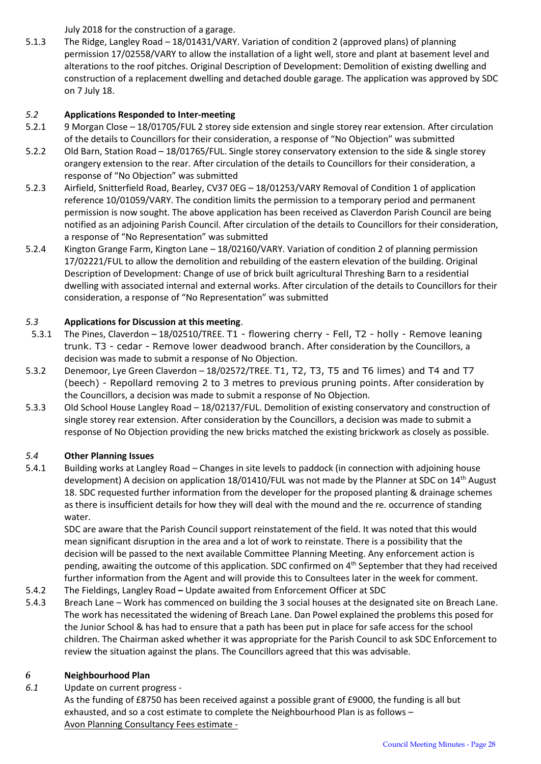July 2018 for the construction of a garage.

5.1.3 The Ridge, Langley Road – 18/01431/VARY. Variation of condition 2 (approved plans) of planning permission 17/02558/VARY to allow the installation of a light well, store and plant at basement level and alterations to the roof pitches. Original Description of Development: Demolition of existing dwelling and construction of a replacement dwelling and detached double garage. The application was approved by SDC on 7 July 18.

## *5.2* **Applications Responded to Inter-meeting**

- 5.2.1 9 Morgan Close 18/01705/FUL 2 storey side extension and single storey rear extension. After circulation of the details to Councillors for their consideration, a response of "No Objection" was submitted
- 5.2.2 Old Barn, Station Road 18/01765/FUL. Single storey conservatory extension to the side & single storey orangery extension to the rear. After circulation of the details to Councillors for their consideration, a response of "No Objection" was submitted
- 5.2.3 Airfield, Snitterfield Road, Bearley, CV37 0EG 18/01253/VARY Removal of Condition 1 of application reference 10/01059/VARY. The condition limits the permission to a temporary period and permanent permission is now sought. The above application has been received as Claverdon Parish Council are being notified as an adjoining Parish Council. After circulation of the details to Councillors for their consideration, a response of "No Representation" was submitted
- 5.2.4 Kington Grange Farm, Kington Lane 18/02160/VARY. Variation of condition 2 of planning permission 17/02221/FUL to allow the demolition and rebuilding of the eastern elevation of the building. Original Description of Development: Change of use of brick built agricultural Threshing Barn to a residential dwelling with associated internal and external works. After circulation of the details to Councillors for their consideration, a response of "No Representation" was submitted

# *5.3* **Applications for Discussion at this meeting**.

- 5.3.1 The Pines, Claverdon 18/02510/TREE. T1 flowering cherry Fell, T2 holly Remove leaning trunk. T3 - cedar - Remove lower deadwood branch. After consideration by the Councillors, a decision was made to submit a response of No Objection.
- 5.3.2 Denemoor, Lye Green Claverdon 18/02572/TREE. T1, T2, T3, T5 and T6 limes) and T4 and T7 (beech) - Repollard removing 2 to 3 metres to previous pruning points. After consideration by the Councillors, a decision was made to submit a response of No Objection.
- 5.3.3 Old School House Langley Road 18/02137/FUL. Demolition of existing conservatory and construction of single storey rear extension. After consideration by the Councillors, a decision was made to submit a response of No Objection providing the new bricks matched the existing brickwork as closely as possible.

### *5.4* **Other Planning Issues**

5.4.1 Building works at Langley Road – Changes in site levels to paddock (in connection with adjoining house development) A decision on application 18/01410/FUL was not made by the Planner at SDC on 14<sup>th</sup> August 18. SDC requested further information from the developer for the proposed planting & drainage schemes as there is insufficient details for how they will deal with the mound and the re. occurrence of standing water.

SDC are aware that the Parish Council support reinstatement of the field. It was noted that this would mean significant disruption in the area and a lot of work to reinstate. There is a possibility that the decision will be passed to the next available Committee Planning Meeting. Any enforcement action is pending, awaiting the outcome of this application. SDC confirmed on 4<sup>th</sup> September that they had received further information from the Agent and will provide this to Consultees later in the week for comment.

- 5.4.2 The Fieldings, Langley Road **–** Update awaited from Enforcement Officer at SDC
- 5.4.3 Breach Lane Work has commenced on building the 3 social houses at the designated site on Breach Lane. The work has necessitated the widening of Breach Lane. Dan Powel explained the problems this posed for the Junior School & has had to ensure that a path has been put in place for safe access for the school children. The Chairman asked whether it was appropriate for the Parish Council to ask SDC Enforcement to review the situation against the plans. The Councillors agreed that this was advisable.

### *6* **Neighbourhood Plan**

*6.1* Update on current progress -

As the funding of £8750 has been received against a possible grant of £9000, the funding is all but exhausted, and so a cost estimate to complete the Neighbourhood Plan is as follows – Avon Planning Consultancy Fees estimate -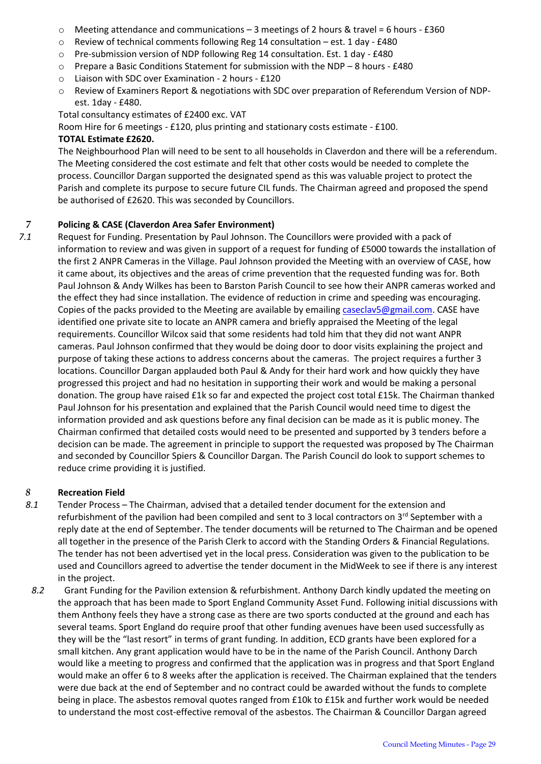- $\circ$  Meeting attendance and communications 3 meetings of 2 hours & travel = 6 hours £360
- $\circ$  Review of technical comments following Reg 14 consultation est. 1 day £480
- o Pre-submission version of NDP following Reg 14 consultation. Est. 1 day £480
- $\circ$  Prepare a Basic Conditions Statement for submission with the NDP 8 hours £480
- o Liaison with SDC over Examination 2 hours £120
- o Review of Examiners Report & negotiations with SDC over preparation of Referendum Version of NDPest. 1day - £480.

Total consultancy estimates of £2400 exc. VAT

Room Hire for 6 meetings - £120, plus printing and stationary costs estimate - £100.

#### **TOTAL Estimate £2620.**

The Neighbourhood Plan will need to be sent to all households in Claverdon and there will be a referendum. The Meeting considered the cost estimate and felt that other costs would be needed to complete the process. Councillor Dargan supported the designated spend as this was valuable project to protect the Parish and complete its purpose to secure future CIL funds. The Chairman agreed and proposed the spend be authorised of £2620. This was seconded by Councillors.

#### *7* **Policing & CASE (Claverdon Area Safer Environment)**

*7.1* Request for Funding. Presentation by Paul Johnson. The Councillors were provided with a pack of information to review and was given in support of a request for funding of £5000 towards the installation of the first 2 ANPR Cameras in the Village. Paul Johnson provided the Meeting with an overview of CASE, how it came about, its objectives and the areas of crime prevention that the requested funding was for. Both Paul Johnson & Andy Wilkes has been to Barston Parish Council to see how their ANPR cameras worked and the effect they had since installation. The evidence of reduction in crime and speeding was encouraging. Copies of the packs provided to the Meeting are available by emailing [caseclav5@gmail.com.](mailto:caseclav5@gmail.com) CASE have identified one private site to locate an ANPR camera and briefly appraised the Meeting of the legal requirements. Councillor Wilcox said that some residents had told him that they did not want ANPR cameras. Paul Johnson confirmed that they would be doing door to door visits explaining the project and purpose of taking these actions to address concerns about the cameras. The project requires a further 3 locations. Councillor Dargan applauded both Paul & Andy for their hard work and how quickly they have progressed this project and had no hesitation in supporting their work and would be making a personal donation. The group have raised £1k so far and expected the project cost total £15k. The Chairman thanked Paul Johnson for his presentation and explained that the Parish Council would need time to digest the information provided and ask questions before any final decision can be made as it is public money. The Chairman confirmed that detailed costs would need to be presented and supported by 3 tenders before a decision can be made. The agreement in principle to support the requested was proposed by The Chairman and seconded by Councillor Spiers & Councillor Dargan. The Parish Council do look to support schemes to reduce crime providing it is justified.

## *8* **Recreation Field**

- *8.1* Tender Process The Chairman, advised that a detailed tender document for the extension and refurbishment of the pavilion had been compiled and sent to 3 local contractors on 3<sup>rd</sup> September with a reply date at the end of September. The tender documents will be returned to The Chairman and be opened all together in the presence of the Parish Clerk to accord with the Standing Orders & Financial Regulations. The tender has not been advertised yet in the local press. Consideration was given to the publication to be used and Councillors agreed to advertise the tender document in the MidWeek to see if there is any interest in the project.
- *8.2* Grant Funding for the Pavilion extension & refurbishment. Anthony Darch kindly updated the meeting on the approach that has been made to Sport England Community Asset Fund. Following initial discussions with them Anthony feels they have a strong case as there are two sports conducted at the ground and each has several teams. Sport England do require proof that other funding avenues have been used successfully as they will be the "last resort" in terms of grant funding. In addition, ECD grants have been explored for a small kitchen. Any grant application would have to be in the name of the Parish Council. Anthony Darch would like a meeting to progress and confirmed that the application was in progress and that Sport England would make an offer 6 to 8 weeks after the application is received. The Chairman explained that the tenders were due back at the end of September and no contract could be awarded without the funds to complete being in place. The asbestos removal quotes ranged from £10k to £15k and further work would be needed to understand the most cost-effective removal of the asbestos. The Chairman & Councillor Dargan agreed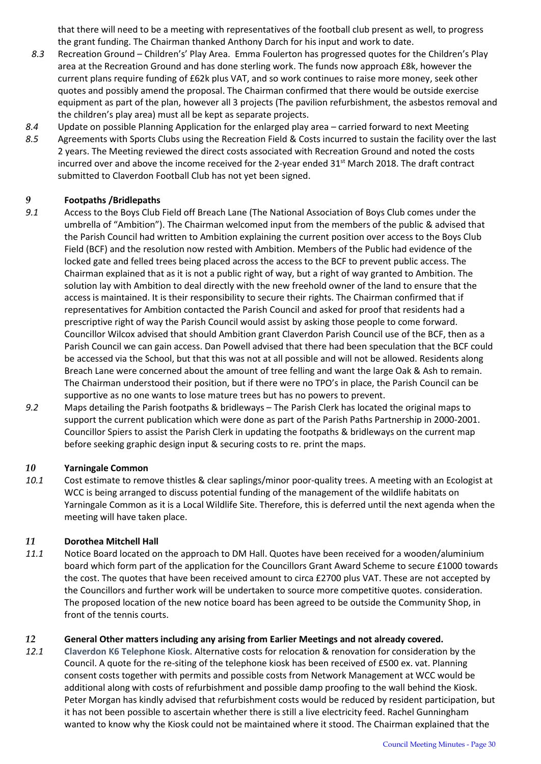that there will need to be a meeting with representatives of the football club present as well, to progress the grant funding. The Chairman thanked Anthony Darch for his input and work to date.

- *8.3* Recreation Ground Children's' Play Area. Emma Foulerton has progressed quotes for the Children's Play area at the Recreation Ground and has done sterling work. The funds now approach £8k, however the current plans require funding of £62k plus VAT, and so work continues to raise more money, seek other quotes and possibly amend the proposal. The Chairman confirmed that there would be outside exercise equipment as part of the plan, however all 3 projects (The pavilion refurbishment, the asbestos removal and the children's play area) must all be kept as separate projects.
- *8.4* Update on possible Planning Application for the enlarged play area carried forward to next Meeting
- *8.5* Agreements with Sports Clubs using the Recreation Field & Costs incurred to sustain the facility over the last 2 years. The Meeting reviewed the direct costs associated with Recreation Ground and noted the costs incurred over and above the income received for the 2-year ended 31<sup>st</sup> March 2018. The draft contract submitted to Claverdon Football Club has not yet been signed.

#### *9* **Footpaths /Bridlepaths**

- *9.1* Access to the Boys Club Field off Breach Lane (The National Association of Boys Club comes under the umbrella of "Ambition"). The Chairman welcomed input from the members of the public & advised that the Parish Council had written to Ambition explaining the current position over access to the Boys Club Field (BCF) and the resolution now rested with Ambition. Members of the Public had evidence of the locked gate and felled trees being placed across the access to the BCF to prevent public access. The Chairman explained that as it is not a public right of way, but a right of way granted to Ambition. The solution lay with Ambition to deal directly with the new freehold owner of the land to ensure that the access is maintained. It is their responsibility to secure their rights. The Chairman confirmed that if representatives for Ambition contacted the Parish Council and asked for proof that residents had a prescriptive right of way the Parish Council would assist by asking those people to come forward. Councillor Wilcox advised that should Ambition grant Claverdon Parish Council use of the BCF, then as a Parish Council we can gain access. Dan Powell advised that there had been speculation that the BCF could be accessed via the School, but that this was not at all possible and will not be allowed. Residents along Breach Lane were concerned about the amount of tree felling and want the large Oak & Ash to remain. The Chairman understood their position, but if there were no TPO's in place, the Parish Council can be supportive as no one wants to lose mature trees but has no powers to prevent.
- *9.2* Maps detailing the Parish footpaths & bridleways The Parish Clerk has located the original maps to support the current publication which were done as part of the Parish Paths Partnership in 2000-2001. Councillor Spiers to assist the Parish Clerk in updating the footpaths & bridleways on the current map before seeking graphic design input & securing costs to re. print the maps.

#### *10* **Yarningale Common**

*10.1* Cost estimate to remove thistles & clear saplings/minor poor-quality trees. A meeting with an Ecologist at WCC is being arranged to discuss potential funding of the management of the wildlife habitats on Yarningale Common as it is a Local Wildlife Site. Therefore, this is deferred until the next agenda when the meeting will have taken place.

### *11* **Dorothea Mitchell Hall**

*11.1* Notice Board located on the approach to DM Hall. Quotes have been received for a wooden/aluminium board which form part of the application for the Councillors Grant Award Scheme to secure £1000 towards the cost. The quotes that have been received amount to circa £2700 plus VAT. These are not accepted by the Councillors and further work will be undertaken to source more competitive quotes. consideration. The proposed location of the new notice board has been agreed to be outside the Community Shop, in front of the tennis courts.

### *12* **General Other matters including any arising from Earlier Meetings and not already covered.**

*12.1* **Claverdon K6 Telephone Kiosk**. Alternative costs for relocation & renovation for consideration by the Council. A quote for the re-siting of the telephone kiosk has been received of £500 ex. vat. Planning consent costs together with permits and possible costs from Network Management at WCC would be additional along with costs of refurbishment and possible damp proofing to the wall behind the Kiosk. Peter Morgan has kindly advised that refurbishment costs would be reduced by resident participation, but it has not been possible to ascertain whether there is still a live electricity feed. Rachel Gunningham wanted to know why the Kiosk could not be maintained where it stood. The Chairman explained that the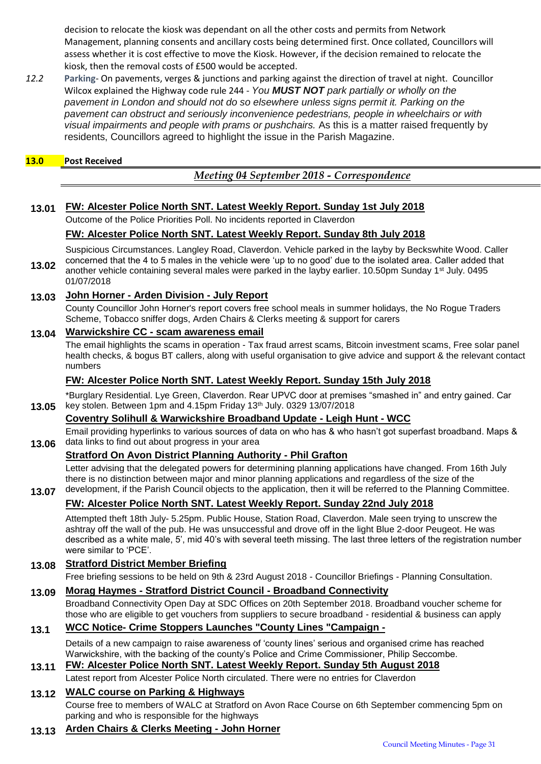decision to relocate the kiosk was dependant on all the other costs and permits from Network Management, planning consents and ancillary costs being determined first. Once collated, Councillors will assess whether it is cost effective to move the Kiosk. However, if the decision remained to relocate the kiosk, then the removal costs of £500 would be accepted.

*12.2* **Parking**- On pavements, verges & junctions and parking against the direction of travel at night. Councillor Wilcox explained the Highway code rule 244 - *You MUST NOT park partially or wholly on the pavement in London and should not do so elsewhere unless signs permit it. Parking on the pavement can obstruct and seriously inconvenience pedestrians, people in wheelchairs or with visual impairments and people with prams or pushchairs.* As this is a matter raised frequently by residents, Councillors agreed to highlight the issue in the Parish Magazine.

#### **13.0 Post Received**

**13.07**

*Meeting 04 September 2018 - Correspondence*

### **13.01 FW: Alcester Police North SNT. Latest Weekly Report. Sunday 1st July 2018**

Outcome of the Police Priorities Poll. No incidents reported in Claverdon

### **FW: Alcester Police North SNT. Latest Weekly Report. Sunday 8th July 2018**

Suspicious Circumstances. Langley Road, Claverdon. Vehicle parked in the layby by Beckswhite Wood. Caller concerned that the 4 to 5 males in the vehicle were 'up to no good' due to the isolated area. Caller added that

**13.02** another vehicle containing several males were parked in the layby earlier. 10.50pm Sunday 1<sup>st</sup> July. 0495 01/07/2018

## **13.03 John Horner - Arden Division - July Report**

County Councillor John Horner's report covers free school meals in summer holidays, the No Rogue Traders Scheme, Tobacco sniffer dogs, Arden Chairs & Clerks meeting & support for carers

## **13.04 Warwickshire CC - scam awareness email**

The email highlights the scams in operation - Tax fraud arrest scams, Bitcoin investment scams, Free solar panel health checks, & bogus BT callers, along with useful organisation to give advice and support & the relevant contact numbers

### **FW: Alcester Police North SNT. Latest Weekly Report. Sunday 15th July 2018**

**13.05** \*Burglary Residential. Lye Green, Claverdon. Rear UPVC door at premises "smashed in" and entry gained. Car key stolen. Between 1pm and 4.15pm Friday 13th July. 0329 13/07/2018

# **Coventry Solihull & Warwickshire Broadband Update - Leigh Hunt - WCC**

**13.06** Email providing hyperlinks to various sources of data on who has & who hasn't got superfast broadband. Maps & data links to find out about progress in your area

### **Stratford On Avon District Planning Authority - Phil Grafton**

Letter advising that the delegated powers for determining planning applications have changed. From 16th July there is no distinction between major and minor planning applications and regardless of the size of the development, if the Parish Council objects to the application, then it will be referred to the Planning Committee.

# **FW: Alcester Police North SNT. Latest Weekly Report. Sunday 22nd July 2018**

Attempted theft 18th July- 5.25pm. Public House, Station Road, Claverdon. Male seen trying to unscrew the ashtray off the wall of the pub. He was unsuccessful and drove off in the light Blue 2-door Peugeot. He was described as a white male, 5', mid 40's with several teeth missing. The last three letters of the registration number were similar to 'PCE'.

### **13.08 Stratford District Member Briefing**

Free briefing sessions to be held on 9th & 23rd August 2018 - Councillor Briefings - Planning Consultation.

### **13.09 Morag Haymes - Stratford District Council - Broadband Connectivity**

Broadband Connectivity Open Day at SDC Offices on 20th September 2018. Broadband voucher scheme for those who are eligible to get vouchers from suppliers to secure broadband - residential & business can apply

# **13.1 WCC Notice- Crime Stoppers Launches "County Lines "Campaign -**

Details of a new campaign to raise awareness of 'county lines' serious and organised crime has reached Warwickshire, with the backing of the county's Police and Crime Commissioner, Philip Seccombe.

#### **13.11 FW: Alcester Police North SNT. Latest Weekly Report. Sunday 5th August 2018**

Latest report from Alcester Police North circulated. There were no entries for Claverdon

# **13.12 WALC course on Parking & Highways**

Course free to members of WALC at Stratford on Avon Race Course on 6th September commencing 5pm on parking and who is responsible for the highways

## **13.13 Arden Chairs & Clerks Meeting - John Horner**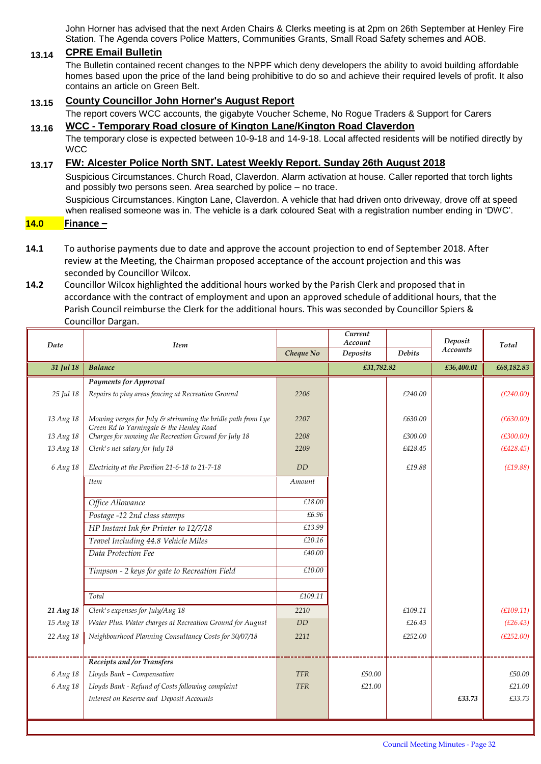John Horner has advised that the next Arden Chairs & Clerks meeting is at 2pm on 26th September at Henley Fire Station. The Agenda covers Police Matters, Communities Grants, Small Road Safety schemes and AOB.

#### **13.14 CPRE Email Bulletin**

The Bulletin contained recent changes to the NPPF which deny developers the ability to avoid building affordable homes based upon the price of the land being prohibitive to do so and achieve their required levels of profit. It also contains an article on Green Belt.

## **13.15 County Councillor John Horner's August Report**

The report covers WCC accounts, the gigabyte Voucher Scheme, No Rogue Traders & Support for Carers **13.16 WCC - Temporary Road closure of Kington Lane/Kington Road Claverdon**

The temporary close is expected between 10-9-18 and 14-9-18. Local affected residents will be notified directly by **WCC** 

#### **13.17 FW: Alcester Police North SNT. Latest Weekly Report. Sunday 26th August 2018**

Suspicious Circumstances. Church Road, Claverdon. Alarm activation at house. Caller reported that torch lights and possibly two persons seen. Area searched by police – no trace.

Suspicious Circumstances. Kington Lane, Claverdon. A vehicle that had driven onto driveway, drove off at speed when realised someone was in. The vehicle is a dark coloured Seat with a registration number ending in 'DWC'.

#### **14.0 Finance –**

- **14.1** To authorise payments due to date and approve the account projection to end of September 2018. After review at the Meeting, the Chairman proposed acceptance of the account projection and this was seconded by Councillor Wilcox.
- **14.2** Councillor Wilcox highlighted the additional hours worked by the Parish Clerk and proposed that in accordance with the contract of employment and upon an approved schedule of additional hours, that the Parish Council reimburse the Clerk for the additional hours. This was seconded by Councillor Spiers & Councillor Dargan.

| Date      | <b>Item</b>                                                                                             |            | Current<br>Account |               | Deposit         | Total      |
|-----------|---------------------------------------------------------------------------------------------------------|------------|--------------------|---------------|-----------------|------------|
|           |                                                                                                         | Cheque No  | <b>Deposits</b>    | <b>Debits</b> | <b>Accounts</b> |            |
| 31 Jul 18 | <b>Balance</b>                                                                                          |            | £31,782.82         |               | £36,400.01      | £68,182.83 |
|           | <b>Payments for Approval</b>                                                                            |            |                    |               |                 |            |
| 25 Jul 18 | Repairs to play areas fencing at Recreation Ground                                                      | 2206       |                    | £240.00       |                 | (E240.00)  |
| 13 Aug 18 | Mowing verges for July & strimming the bridle path from Lye<br>Green Rd to Yarningale & the Henley Road | 2207       |                    | £630.00       |                 | (E630.00)  |
| 13 Aug 18 | Charges for mowing the Recreation Ground for July 18                                                    | 2208       |                    | £300.00       |                 | (E300.00)  |
| 13 Aug 18 | Clerk's net salary for July 18                                                                          | 2209       |                    | £428.45       |                 | (E428.45)  |
| 6 Aug 18  | Electricity at the Pavilion 21-6-18 to 21-7-18                                                          | <b>DD</b>  |                    | £19.88        |                 | (E19.88)   |
|           | <b>Item</b>                                                                                             | Amount     |                    |               |                 |            |
|           | Office Allowance                                                                                        | £18.00     |                    |               |                 |            |
|           | Postage -12 2nd class stamps                                                                            | £6.96      |                    |               |                 |            |
|           | HP Instant Ink for Printer to 12/7/18                                                                   | £13.99     |                    |               |                 |            |
|           | Travel Including 44.8 Vehicle Miles                                                                     | £20.16     |                    |               |                 |            |
|           | Data Protection Fee                                                                                     | £40.00     |                    |               |                 |            |
|           | Timpson - 2 keys for gate to Recreation Field                                                           | £10.00     |                    |               |                 |            |
|           | Total                                                                                                   | £109.11    |                    |               |                 |            |
| 21 Aug 18 | Clerk's expenses for July/Aug 18                                                                        | 2210       |                    | £109.11       |                 | (E109.11)  |
| 15 Aug 18 | Water Plus. Water charges at Recreation Ground for August                                               | <b>DD</b>  |                    | £26.43        |                 | (E26.43)   |
| 22 Aug 18 | Neighbourhood Planning Consultancy Costs for 30/07/18                                                   | 2211       |                    | £252.00       |                 | (E252.00)  |
|           |                                                                                                         |            |                    |               |                 |            |
|           | Receipts and /or Transfers                                                                              |            |                    |               |                 |            |
| 6 Aug 18  | Lloyds Bank - Compensation                                                                              | <b>TFR</b> | £50.00             |               |                 | £50.00     |
| 6 Aug 18  | Lloyds Bank - Refund of Costs following complaint                                                       | <b>TFR</b> | £21.00             |               |                 | £21.00     |
|           | Interest on Reserve and Deposit Accounts                                                                |            |                    |               | £33.73          | £33.73     |
|           |                                                                                                         |            |                    |               |                 |            |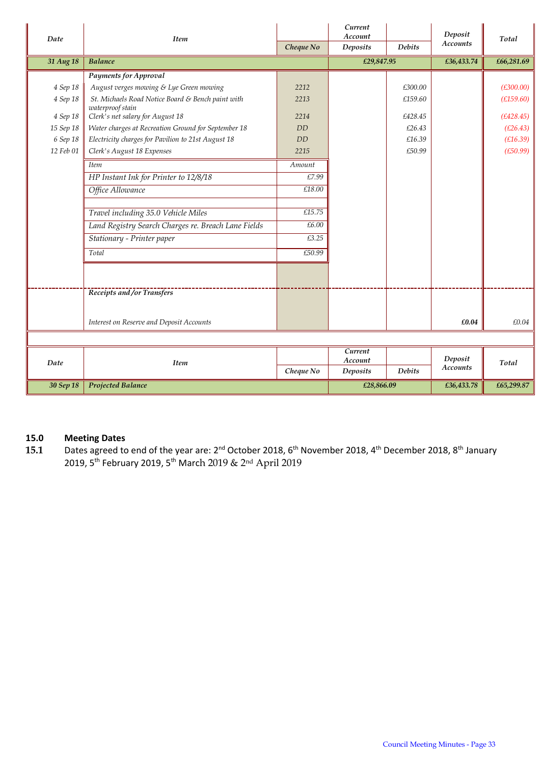| Date      | <b>Item</b>                                          |            | Current<br>Account |               | Deposit                    | Total      |
|-----------|------------------------------------------------------|------------|--------------------|---------------|----------------------------|------------|
|           |                                                      | Cheque No  | <b>Deposits</b>    | <b>Debits</b> | <b>Accounts</b>            |            |
| 31 Aug 18 | <b>Balance</b>                                       |            | £29,847.95         |               | £36,433.74                 | £66,281.69 |
|           | <b>Payments for Approval</b>                         |            |                    |               |                            |            |
| 4 Sep 18  | August verges mowing & Lye Green mowing              | 2212       |                    | £300.00       |                            | (E300.00)  |
| 4 Sep 18  | St. Michaels Road Notice Board & Bench paint with    | 2213       |                    | £159.60       |                            | (E159.60)  |
| 4 Sep 18  | waterproof stain<br>Clerk's net salary for August 18 | 2214       |                    | £428.45       |                            | (E428.45)  |
| 15 Sep 18 | Water charges at Recreation Ground for September 18  | <b>DD</b>  |                    | £26.43        |                            | (E26.43)   |
| 6 Sep 18  | Electricity charges for Pavilion to 21st August 18   | <b>DD</b>  |                    | £16.39        |                            | (E16.39)   |
| 12 Feb 01 | Clerk's August 18 Expenses                           | 2215       |                    | £50.99        |                            | (E50.99)   |
|           | <b>Item</b>                                          | Amount     |                    |               |                            |            |
|           | HP Instant Ink for Printer to 12/8/18                | £7.99      |                    |               |                            |            |
|           | Office Allowance                                     | £18.00     |                    |               |                            |            |
|           |                                                      |            |                    |               |                            |            |
|           | Travel including 35.0 Vehicle Miles                  | £15.75     |                    |               |                            |            |
|           | Land Registry Search Charges re. Breach Lane Fields  | £6.00      |                    |               |                            |            |
|           | Stationary - Printer paper                           | £3.25      |                    |               |                            |            |
|           | Total                                                | £50.99     |                    |               |                            |            |
|           |                                                      |            |                    |               |                            |            |
|           | Receipts and /or Transfers                           |            |                    |               |                            |            |
|           | Interest on Reserve and Deposit Accounts             |            |                    |               | £0.04                      | £0.04      |
|           |                                                      |            |                    |               |                            |            |
| Date      | <b>Item</b>                                          |            | Current<br>Account |               | Deposit<br><b>Accounts</b> | Total      |
|           |                                                      | Cheque No  | Deposits           | <b>Debits</b> |                            |            |
| 30 Sep 18 | <b>Projected Balance</b>                             | £28,866.09 |                    | £36,433.78    | £65,299.87                 |            |

# **15.0 Meeting Dates**

15.1 Dates agreed to end of the year are: 2<sup>nd</sup> October 2018, 6<sup>th</sup> November 2018, 4<sup>th</sup> December 2018, 8<sup>th</sup> January 2019, 5th February 2019, 5th March 2019 & 2nd April 2019